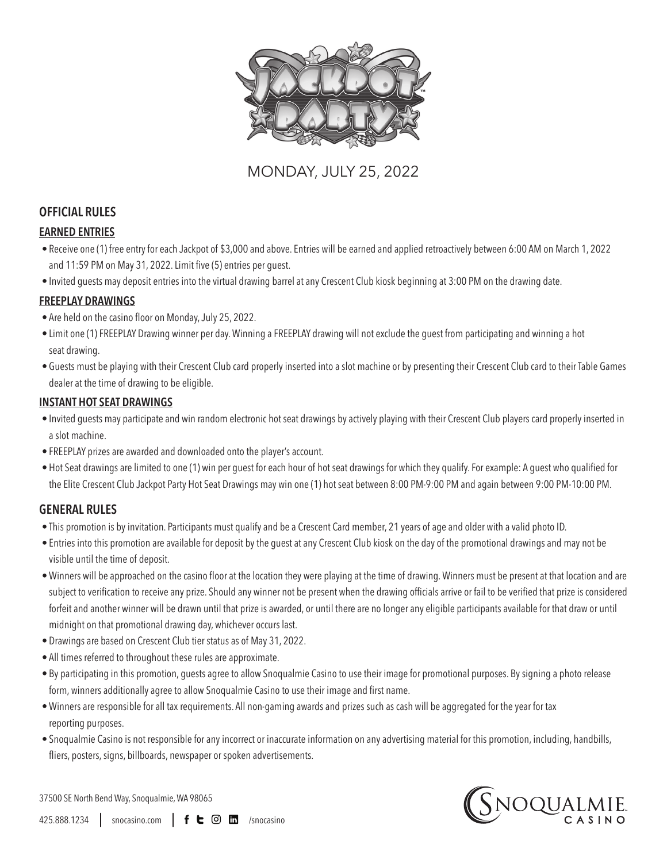

# MONDAY, JULY 25, 2022

## **OFFICIAL RULES**

## **EARNED ENTRIES**

- Receive one (1) free entry for each Jackpot of \$3,000 and above. Entries will be earned and applied retroactively between 6:00 AM on March 1, 2022 and 11:59 PM on May 31, 2022. Limit five (5) entries per guest.
- Invited guests may deposit entries into the virtual drawing barrel at any Crescent Club kiosk beginning at 3:00 PM on the drawing date.

## **FREEPLAY DRAWINGS**

- Are held on the casino floor on Monday, July 25, 2022.
- Limit one (1) FREEPLAY Drawing winner per day. Winning a FREEPLAY drawing will not exclude the guest from participating and winning a hot seat drawing.
- Guests must be playing with their Crescent Club card properly inserted into a slot machine or by presenting their Crescent Club card to their Table Games dealer at the time of drawing to be eligible.

## **INSTANT HOT SEAT DRAWINGS**

- Invited guests may participate and win random electronic hot seat drawings by actively playing with their Crescent Club players card properly inserted in a slot machine.
- FREEPLAY prizes are awarded and downloaded onto the player's account.
- Hot Seat drawings are limited to one (1) win per guest for each hour of hot seat drawings for which they qualify. For example: A guest who qualified for the Elite Crescent Club Jackpot Party Hot Seat Drawings may win one (1) hot seat between 8:00 PM-9:00 PM and again between 9:00 PM-10:00 PM.

## **GENERAL RULES**

- This promotion is by invitation. Participants must qualify and be a Crescent Card member, 21 years of age and older with a valid photo ID.
- Entries into this promotion are available for deposit by the guest at any Crescent Club kiosk on the day of the promotional drawings and may not be visible until the time of deposit.
- Winners will be approached on the casino floor at the location they were playing at the time of drawing. Winners must be present at that location and are subject to verification to receive any prize. Should any winner not be present when the drawing officials arrive or fail to be verified that prize is considered forfeit and another winner will be drawn until that prize is awarded, or until there are no longer any eligible participants available for that draw or until midnight on that promotional drawing day, whichever occurs last.
- Drawings are based on Crescent Club tier status as of May 31, 2022.
- All times referred to throughout these rules are approximate.
- By participating in this promotion, guests agree to allow Snoqualmie Casino to use their image for promotional purposes. By signing a photo release form, winners additionally agree to allow Snoqualmie Casino to use their image and first name.
- Winners are responsible for all tax requirements. All non-gaming awards and prizes such as cash will be aggregated for the year for tax reporting purposes.
- Snoqualmie Casino is not responsible for any incorrect or inaccurate information on any advertising material for this promotion, including, handbills, fliers, posters, signs, billboards, newspaper or spoken advertisements.